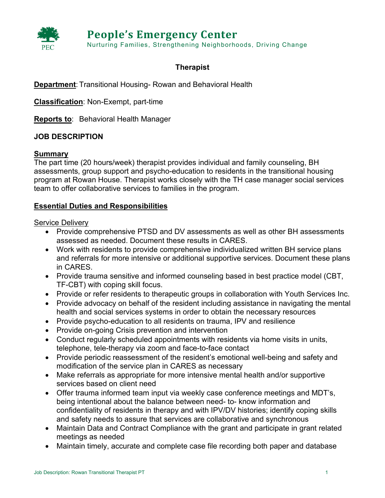

# **Therapist**

**Department**: Transitional Housing- Rowan and Behavioral Health

**Classification**: Non-Exempt, part-time

**Reports to**: Behavioral Health Manager

## **JOB DESCRIPTION**

## **Summary**

The part time (20 hours/week) therapist provides individual and family counseling, BH assessments, group support and psycho-education to residents in the transitional housing program at Rowan House. Therapist works closely with the TH case manager social services team to offer collaborative services to families in the program.

## **Essential Duties and Responsibilities**

## Service Delivery

- Provide comprehensive PTSD and DV assessments as well as other BH assessments assessed as needed. Document these results in CARES.
- Work with residents to provide comprehensive individualized written BH service plans and referrals for more intensive or additional supportive services. Document these plans in CARES.
- Provide trauma sensitive and informed counseling based in best practice model (CBT, TF-CBT) with coping skill focus.
- Provide or refer residents to therapeutic groups in collaboration with Youth Services Inc.
- Provide advocacy on behalf of the resident including assistance in navigating the mental health and social services systems in order to obtain the necessary resources
- Provide psycho-education to all residents on trauma, IPV and resilience
- Provide on-going Crisis prevention and intervention
- Conduct regularly scheduled appointments with residents via home visits in units, telephone, tele-therapy via zoom and face-to-face contact
- Provide periodic reassessment of the resident's emotional well-being and safety and modification of the service plan in CARES as necessary
- Make referrals as appropriate for more intensive mental health and/or supportive services based on client need
- Offer trauma informed team input via weekly case conference meetings and MDT's, being intentional about the balance between need- to- know information and confidentiality of residents in therapy and with IPV/DV histories; identify coping skills and safety needs to assure that services are collaborative and synchronous
- Maintain Data and Contract Compliance with the grant and participate in grant related meetings as needed
- Maintain timely, accurate and complete case file recording both paper and database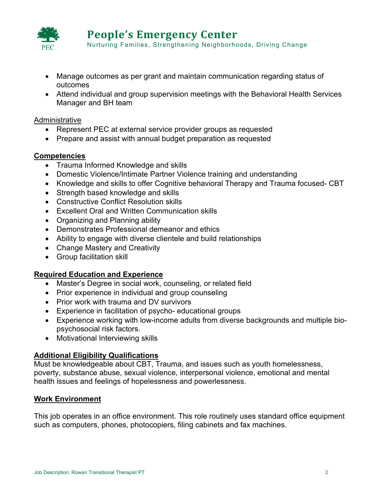

Nurturing Families, Strengthening Neighborhoods, Driving Change

- Manage outcomes as per grant and maintain communication regarding status of outcomes
- Attend individual and group supervision meetings with the Behavioral Health Services Manager and BH team

#### Administrative

- Represent PEC at external service provider groups as requested
- Prepare and assist with annual budget preparation as requested

#### **Competencies**

- Trauma Informed Knowledge and skills
- Domestic Violence/Intimate Partner Violence training and understanding
- Knowledge and skills to offer Cognitive behavioral Therapy and Trauma focused- CBT
- Strength based knowledge and skills
- Constructive Conflict Resolution skills
- Excellent Oral and Written Communication skills
- Organizing and Planning ability
- Demonstrates Professional demeanor and ethics
- Ability to engage with diverse clientele and build relationships
- Change Mastery and Creativity
- Group facilitation skill

## **Required Education and Experience**

- Master's Degree in social work, counseling, or related field
- Prior experience in individual and group counseling
- Prior work with trauma and DV survivors
- Experience in facilitation of psycho- educational groups
- Experience working with low-income adults from diverse backgrounds and multiple biopsychosocial risk factors.
- Motivational Interviewing skills

## **Additional Eligibility Qualifications**

Must be knowledgeable about CBT, Trauma, and issues such as youth homelessness, poverty, substance abuse, sexual violence, interpersonal violence, emotional and mental health issues and feelings of hopelessness and powerlessness.

## **Work Environment**

This job operates in an office environment. This role routinely uses standard office equipment such as computers, phones, photocopiers, filing cabinets and fax machines.